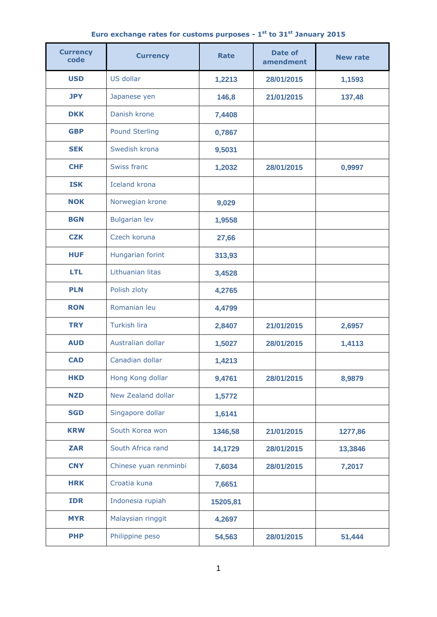| Euro exchange rates for customs purposes - $1st$ to $31st$ January 2015 |
|-------------------------------------------------------------------------|
|-------------------------------------------------------------------------|

| <b>Currency</b><br>code | <b>Currency</b>       | <b>Rate</b> | <b>Date of</b><br>amendment | <b>New rate</b> |
|-------------------------|-----------------------|-------------|-----------------------------|-----------------|
| <b>USD</b>              | US dollar             | 1,2213      | 28/01/2015                  | 1,1593          |
| <b>JPY</b>              | Japanese yen          | 146,8       | 21/01/2015                  | 137,48          |
| <b>DKK</b>              | Danish krone          | 7,4408      |                             |                 |
| <b>GBP</b>              | <b>Pound Sterling</b> | 0,7867      |                             |                 |
| <b>SEK</b>              | Swedish krona         | 9,5031      |                             |                 |
| <b>CHF</b>              | Swiss franc           | 1,2032      | 28/01/2015                  | 0,9997          |
| <b>ISK</b>              | <b>Iceland krona</b>  |             |                             |                 |
| <b>NOK</b>              | Norwegian krone       | 9,029       |                             |                 |
| <b>BGN</b>              | <b>Bulgarian lev</b>  | 1,9558      |                             |                 |
| <b>CZK</b>              | Czech koruna          | 27,66       |                             |                 |
| <b>HUF</b>              | Hungarian forint      | 313,93      |                             |                 |
| <b>LTL</b>              | Lithuanian litas      | 3,4528      |                             |                 |
| <b>PLN</b>              | Polish zloty          | 4,2765      |                             |                 |
| <b>RON</b>              | Romanian leu          | 4,4799      |                             |                 |
| <b>TRY</b>              | <b>Turkish lira</b>   | 2,8407      | 21/01/2015                  | 2,6957          |
| <b>AUD</b>              | Australian dollar     | 1,5027      | 28/01/2015                  | 1,4113          |
| <b>CAD</b>              | Canadian dollar       | 1,4213      |                             |                 |
| <b>HKD</b>              | Hong Kong dollar      | 9,4761      | 28/01/2015                  | 8,9879          |
| <b>NZD</b>              | New Zealand dollar    | 1,5772      |                             |                 |
| <b>SGD</b>              | Singapore dollar      | 1,6141      |                             |                 |
| <b>KRW</b>              | South Korea won       | 1346,58     | 21/01/2015                  | 1277,86         |
| <b>ZAR</b>              | South Africa rand     | 14,1729     | 28/01/2015                  | 13,3846         |
| <b>CNY</b>              | Chinese yuan renminbi | 7,6034      | 28/01/2015                  | 7,2017          |
| <b>HRK</b>              | Croatia kuna          | 7,6651      |                             |                 |
| <b>IDR</b>              | Indonesia rupiah      | 15205,81    |                             |                 |
| <b>MYR</b>              | Malaysian ringgit     | 4,2697      |                             |                 |
| <b>PHP</b>              | Philippine peso       | 54,563      | 28/01/2015                  | 51,444          |